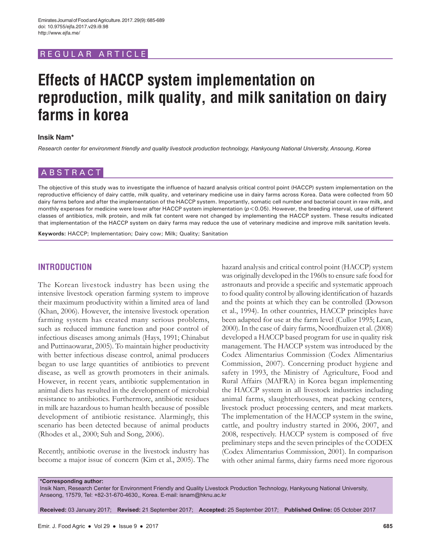## REGULAR ARTICLE

# **Effects of HACCP system implementation on reproduction, milk quality, and milk sanitation on dairy farms in korea**

#### **Insik Nam\***

*Research center for environment friendly and quality livestock production technology, Hankyoung National University, Ansoung, Korea*

# ABSTRACT

The objective of this study was to investigate the influence of hazard analysis critical control point (HACCP) system implementation on the reproductive efficiency of dairy cattle, milk quality, and veterinary medicine use in dairy farms across Korea. Data were collected from 50 dairy farms before and after the implementation of the HACCP system. Importantly, somatic cell number and bacterial count in raw milk, and monthly expenses for medicine were lower after HACCP system implementation ( $p$ <0.05). However, the breeding interval, use of different classes of antibiotics, milk protein, and milk fat content were not changed by implementing the HACCP system. These results indicated that implementation of the HACCP system on dairy farms may reduce the use of veterinary medicine and improve milk sanitation levels.

**Keywords:** HACCP; Implementation; Dairy cow; Milk; Quality; Sanitation

## **INTRODUCTION**

The Korean livestock industry has been using the intensive livestock operation farming system to improve their maximum productivity within a limited area of land (Khan, 2006). However, the intensive livestock operation farming system has created many serious problems, such as reduced immune function and poor control of infectious diseases among animals (Hays, 1991; Chinabut and Puttinaowarat, 2005). To maintain higher productivity with better infectious disease control, animal producers began to use large quantities of antibiotics to prevent disease, as well as growth promoters in their animals. However, in recent years, antibiotic supplementation in animal diets has resulted in the development of microbial resistance to antibiotics. Furthermore, antibiotic residues in milk are hazardous to human health because of possible development of antibiotic resistance. Alarmingly, this scenario has been detected because of animal products (Rhodes et al., 2000; Suh and Song, 2006).

Recently, antibiotic overuse in the livestock industry has become a major issue of concern (Kim et al., 2005). The hazard analysis and critical control point (HACCP) system was originally developed in the 1960s to ensure safe food for astronauts and provide a specific and systematic approach to food quality control by allowing identification of hazards and the points at which they can be controlled (Dowson et al., 1994). In other countries, HACCP principles have been adapted for use at the farm level (Cullor 1995; Lean, 2000). In the case of dairy farms, Noordhuizen et al. (2008) developed a HACCP based program for use in quality risk management. The HACCP system was introduced by the Codex Alimentarius Commission (Codex Alimentarius Commission, 2007). Concerning product hygiene and safety in 1993, the Ministry of Agriculture, Food and Rural Affairs (MAFRA) in Korea began implementing the HACCP system in all livestock industries including animal farms, slaughterhouses, meat packing centers, livestock product processing centers, and meat markets. The implementation of the HACCP system in the swine, cattle, and poultry industry started in 2006, 2007, and 2008, respectively. HACCP system is composed of five preliminary steps and the seven principles of the CODEX (Codex Alimentarius Commission, 2001). In comparison with other animal farms, dairy farms need more rigorous

**\*Corresponding author:**

Insik Nam, Research Center for Environment Friendly and Quality Livestock Production Technology, Hankyoung National University, Anseong, 17579, Tel: +82-31-670-4630,, Korea. E-mail: isnam@hknu.ac.kr

**Received:** 03 January 2017; **Revised:** 21 September 2017; **Accepted:** 25 September 2017; **Published Online:** 05 October 2017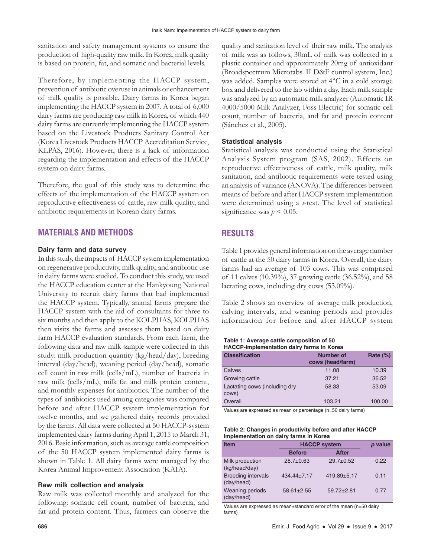sanitation and safety management systems to ensure the production of high-quality raw milk. In Korea, milk quality is based on protein, fat, and somatic and bacterial levels.

Therefore, by implementing the HACCP system, prevention of antibiotic overuse in animals or enhancement of milk quality is possible. Dairy farms in Korea began implementing the HACCP system in 2007. A total of 6,000 dairy farms are producing raw milk in Korea, of which 440 dairy farms are currently implementing the HACCP system based on the Livestock Products Sanitary Control Act (Korea Livestock Products HACCP Accreditation Service, KLPAS, 2016). However, there is a lack of information regarding the implementation and effects of the HACCP system on dairy farms.

Therefore, the goal of this study was to determine the effects of the implementation of the HACCP system on reproductive effectiveness of cattle, raw milk quality, and antibiotic requirements in Korean dairy farms.

# **MATERIALS AND METHODS**

#### **Dairy farm and data survey**

In this study, the impacts of HACCP system implementation on regenerative productivity, milk quality, and antibiotic use in dairy farms were studied. To conduct this study, we used the HACCP education center at the Hankyoung National University to recruit dairy farms that had implemented the HACCP system. Typically, animal farms prepare the HACCP system with the aid of consultants for three to six months and then apply to the KOLPHAS, KOLPHAS then visits the farms and assesses them based on dairy farm HACCP evaluation standards. From each farm, the following data and raw milk sample were collected in this study: milk production quantity (kg/head/day), breeding interval (day/head), weaning period (day/head), somatic cell count in raw milk (cells/mL), number of bacteria in raw milk (cells/mL), milk fat and milk protein content, and monthly expenses for antibiotics. The number of the types of antibiotics used among categories was compared before and after HACCP system implementation for twelve months, and we gathered dairy records provided by the farms. All data were collected at 50 HACCP-system implemented dairy farms during April 1, 2015 to March 31, 2016. Basic information, such as average cattle composition of the 50 HACCP system implemented dairy farms is shown in Table 1. All dairy farms were managed by the Korea Animal Improvement Association (KAIA).

## **Raw milk collection and analysis**

Raw milk was collected monthly and analyzed for the following: somatic cell count, number of bacteria, and fat and protein content. Thus, farmers can observe the quality and sanitation level of their raw milk. The analysis of milk was as follows, 30mL of milk was collected in a plastic container and approximately 20mg of antioxidant (Broadspectrum Microtabs. II D&F control system, Inc.) was added. Samples were stored at 4°C in a cold storage box and delivered to the lab within a day. Each milk sample was analyzed by an automatic milk analyzer (Automatic IR 4000/5000 Milk Analyzer, Foss Electric) for somatic cell count, number of bacteria, and fat and protein content (Sánchez et al., 2005).

### **Statistical analysis**

Statistical analysis was conducted using the Statistical Analysis System program (SAS, 2002). Effects on reproductive effectiveness of cattle, milk quality, milk sanitation, and antibiotic requirements were tested using an analysis of variance (ANOVA). The differences between means of before and after HACCP system implementation were determined using a *t*-test. The level of statistical significance was  $p \leq 0.05$ .

# **RESULTS**

Table 1 provides general information on the average number of cattle at the 50 dairy farms in Korea. Overall, the dairy farms had an average of 103 cows. This was comprised of 11 calves (10.39%), 37 growing cattle (36.52%), and 58 lactating cows, including dry cows (53.09%).

Table 2 shows an overview of average milk production, calving intervals, and weaning periods and provides information for before and after HACCP system

| Table 1: Average cattle composition of 50        |  |
|--------------------------------------------------|--|
| <b>HACCP-implementation dairy farms in Korea</b> |  |

| $1.17001$ pronounced and all $\gamma$ ranno in Roroa |                               |             |  |
|------------------------------------------------------|-------------------------------|-------------|--|
| <b>Classification</b>                                | Number of<br>cows (head/farm) | Rate $(\%)$ |  |
| Calves                                               | 11.08                         | 10.39       |  |
| Growing cattle                                       | 37.21                         | 36.52       |  |
| Lactating cows (including dry<br>cows)               | 58.33                         | 53.09       |  |
| Overall                                              | 103.21                        | 100.00      |  |

Values are expressed as mean or percentage (n=50 dairy farms)

| Table 2: Changes in productivity before and after HACCP |
|---------------------------------------------------------|
| implementation on dairy farms in Korea                  |

| <b>Item</b>                             | <b>HACCP system</b> |                | p value |
|-----------------------------------------|---------------------|----------------|---------|
|                                         | <b>Before</b>       | <b>After</b>   |         |
| Milk production<br>(kg/head/day)        | $28.7 + 0.63$       | $29.7 + 0.52$  | 0.22    |
| <b>Breeding intervals</b><br>(day/head) | $434.44 \pm 7.17$   | 419.89±5.17    | 0.11    |
| <b>Weaning periods</b><br>(day/head)    | $58.61 \pm 2.55$    | $59.72 + 2.81$ | 0.77    |

Values are expressed as mean±standard error of the mean (n=50 dairy farms)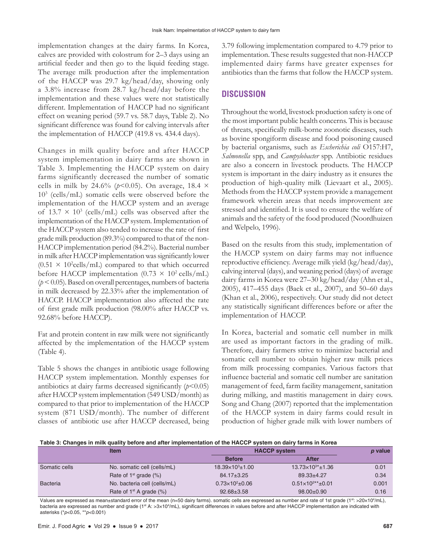implementation changes at the dairy farms. In Korea, calves are provided with colostrum for 2–3 days using an artificial feeder and then go to the liquid feeding stage. The average milk production after the implementation of the HACCP was 29.7 kg/head/day, showing only a 3.8% increase from 28.7 kg/head/day before the implementation and these values were not statistically different. Implementation of HACCP had no significant effect on weaning period (59.7 vs. 58.7 days, Table 2). No significant difference was found for calving intervals after the implementation of HACCP (419.8 vs. 434.4 days).

Changes in milk quality before and after HACCP system implementation in dairy farms are shown in Table 3. Implementing the HACCP system on dairy farms significantly decreased the number of somatic cells in milk by 24.6% ( $p$ <0.05). On average, 18.4  $\times$ 103 (cells/mL) somatic cells were observed before the implementation of the HACCP system and an average of  $13.7 \times 10^3$  (cells/mL) cells was observed after the implementation of the HACCP system. Implementation of the HACCP system also tended to increase the rate of first grade milk production (89.3%) compared to that of the non-HACCP implementation period (84.2%). Bacterial number in milk after HACCP implementation was significantly lower  $(0.51 \times 10^2$ cells/mL) compared to that which occurred before HACCP implementation  $(0.73 \times 10^2 \text{ cells/mL})$ (*p* < 0.05). Based on overall percentages, numbers of bacteria in milk decreased by 22.33% after the implementation of HACCP. HACCP implementation also affected the rate of first grade milk production (98.00% after HACCP vs. 92.68% before HACCP).

Fat and protein content in raw milk were not significantly affected by the implementation of the HACCP system (Table 4).

Table 5 shows the changes in antibiotic usage following HACCP system implementation. Monthly expenses for antibiotics at dairy farms decreased significantly  $(p<0.05)$ after HACCP system implementation (549 USD/month) as compared to that prior to implementation of the HACCP system (871 USD/month). The number of different classes of antibiotic use after HACCP decreased, being 3.79 following implementation compared to 4.79 prior to implementation. These results suggested that non-HACCP implemented dairy farms have greater expenses for antibiotics than the farms that follow the HACCP system.

# **DISCUSSION**

Throughout the world, livestock production safety is one of the most important public health concerns. This is because of threats, specifically milk-borne zoonotic diseases, such as bovine spongiform disease and food poisoning caused by bacterial organisms, such as *Escherichia coli* O157:H7, *Salmonella* spp, and *Campylobacter* spp. Antibiotic residues are also a concern in livestock products. The HACCP system is important in the dairy industry as it ensures the production of high-quality milk (Lievaart et al., 2005). Methods from the HACCP system provide a management framework wherein areas that needs improvement are stressed and identified. It is used to ensure the welfare of animals and the safety of the food produced (Noordhuizen and Welpelo, 1996).

Based on the results from this study, implementation of the HACCP system on dairy farms may not influence reproductive efficiency. Average milk yield (kg/head/day), calving interval (days), and weaning period (days) of average dairy farms in Korea were 27–30 kg/head/day (Ahn et al., 2005), 417–455 days (Baek et al., 2007), and 50–60 days (Khan et al., 2006), respectively. Our study did not detect any statistically significant differences before or after the implementation of HACCP.

In Korea, bacterial and somatic cell number in milk are used as important factors in the grading of milk. Therefore, dairy farmers strive to minimize bacterial and somatic cell number to obtain higher raw milk prices from milk processing companies. Various factors that influence bacterial and somatic cell number are sanitation management of feed, farm facility management, sanitation during milking, and mastitis management in dairy cows. Song and Chang (2007) reported that the implementation of the HACCP system in dairy farms could result in production of higher grade milk with lower numbers of

|  | Table 3: Changes in milk quality before and after implementation of the HACCP system on dairy farms in Korea |
|--|--------------------------------------------------------------------------------------------------------------|
|--|--------------------------------------------------------------------------------------------------------------|

|                 | <b>Item</b>                     | <b>HACCP system</b>       |                             | p value |
|-----------------|---------------------------------|---------------------------|-----------------------------|---------|
|                 |                                 | <b>Before</b>             | After                       |         |
| Somatic cells   | No. somatic cell (cells/mL)     | $18.39\times10^{3}$ ±1.00 | $13.73\times10^{3*}$ ±1.36  | 0.01    |
|                 | Rate of $1st$ grade $(\%)$      | $84.17 \pm 3.25$          | $89.33 + 4.27$              | 0.34    |
| <b>Bacteria</b> | No. bacteria cell (cells/mL)    | $0.73\times10^{2}$ ±0.06  | $0.51\times10^{2**}$ ± 0.01 | 0.001   |
|                 | Rate of $1^{st}$ A grade $(\%)$ | $92.68 \pm 3.58$          | $98.00 \pm 0.90$            | 0.16    |

Values are expressed as mean±standard error of the mean (n=50 dairy farms). somatic cells are expressed as number and rate of 1st grade (1st: >20×104/mL), bacteria are expressed as number and grade (1st A: >3×104/mL), significant differences in values before and after HACCP implementation are indicated with asterisks (\**p*<0.05, \*\**p*<0.001)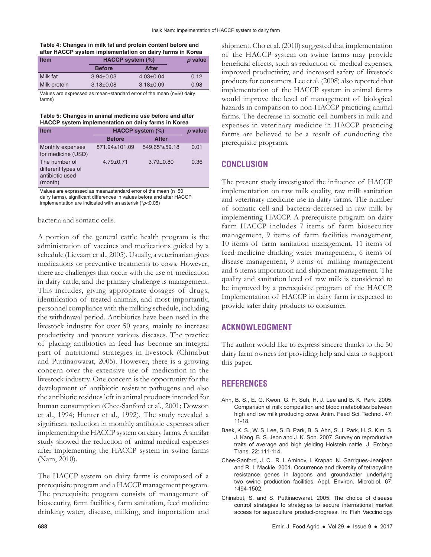#### **Table 4: Changes in milk fat and protein content before and after HACCP system implementation on dairy farms in Korea**

| <b>Item</b>  | HACCP system (%) |                 | p value |
|--------------|------------------|-----------------|---------|
|              | <b>Before</b>    | After           |         |
| Milk fat     | $3.94 \pm 0.03$  | $4.03 \pm 0.04$ | 0.12    |
| Milk protein | $3.18 \pm 0.08$  | $3.18 \pm 0.09$ | 0.98    |

Values are expressed as mean±standard error of the mean (n=50 dairy farms)

#### **Table 5: Changes in animal medicine use before and after HACCP system implementation on dairy farms in Korea**

| <b>Item</b>                                                       | HACCP system (%) | p value            |      |
|-------------------------------------------------------------------|------------------|--------------------|------|
|                                                                   | <b>Before</b>    | <b>After</b>       |      |
| Monthly expenses<br>for medicine (USD)                            | 871.94±101.09    | $549.65^*$ + 59.18 | 0.01 |
| The number of<br>different types of<br>antibiotic used<br>(month) | $4.79 \pm 0.71$  | $3.79 + 0.80$      | 0.36 |

Values are expressed as mean±standard error of the mean (n=50 dairy farms), significant differences in values before and after HACCP implementation are indicated with an asterisk (\**p*<0.05)

bacteria and somatic cells.

A portion of the general cattle health program is the administration of vaccines and medications guided by a schedule (Lievaart et al., 2005). Usually, a veterinarian gives medications or preventive treatments to cows. However, there are challenges that occur with the use of medication in dairy cattle, and the primary challenge is management. This includes, giving appropriate dosages of drugs, identification of treated animals, and most importantly, personnel compliance with the milking schedule, including the withdrawal period. Antibiotics have been used in the livestock industry for over 50 years, mainly to increase productivity and prevent various diseases. The practice of placing antibiotics in feed has become an integral part of nutritional strategies in livestock (Chinabut and Puttinaowarat, 2005). However, there is a growing concern over the extensive use of medication in the livestock industry. One concern is the opportunity for the development of antibiotic resistant pathogens and also the antibiotic residues left in animal products intended for human consumption (Chee-Sanford et al., 2001; Dowson et al., 1994; Hunter et al., 1992). The study revealed a significant reduction in monthly antibiotic expenses after implementing the HACCP system on dairy farms. A similar study showed the reduction of animal medical expenses after implementing the HACCP system in swine farms (Nam, 2010).

The HACCP system on dairy farms is composed of a prerequisite program and a HACCP management program. The prerequisite program consists of management of biosecurity, farm facilities, farm sanitation, feed medicine drinking water, disease, milking, and importation and shipment. Cho et al. (2010) suggested that implementation of the HACCP system on swine farms may provide beneficial effects, such as reduction of medical expenses, improved productivity, and increased safety of livestock products for consumers. Lee et al. (2008) also reported that implementation of the HACCP system in animal farms would improve the level of management of biological hazards in comparison to non-HACCP practicing animal farms. The decrease in somatic cell numbers in milk and expenses in veterinary medicine in HACCP practicing farms are believed to be a result of conducting the prerequisite programs.

## **CONCLUSION**

The present study investigated the influence of HACCP implementation on raw milk quality, raw milk sanitation and veterinary medicine use in dairy farms. The number of somatic cell and bacteria decreased in raw milk by implementing HACCP. A prerequisite program on dairy farm HACCP includes 7 items of farm biosecurity management, 9 items of farm facilities management, 10 items of farm sanitation management, 11 items of feed·medicine·drinking water management, 6 items of disease management, 9 items of milking management and 6 items importation and shipment management. The quality and sanitation level of raw milk is considered to be improved by a prerequisite program of the HACCP. Implementation of HACCP in dairy farm is expected to provide safer dairy products to consumer.

## **ACKNOWLEDGMENT**

The author would like to express sincere thanks to the 50 dairy farm owners for providing help and data to support this paper.

## **REFERENCES**

- Ahn, B. S., E. G. Kwon, G. H. Suh, H. J. Lee and B. K. Park. 2005. Comparison of milk composition and blood metabolites between high and low milk producing cows. Anim. Feed Sci. Technol. 47: 11-18.
- Baek, K. S., W. S. Lee, S. B. Park, B. S. Ahn, S. J. Park, H. S. Kim, S. J. Kang, B. S. Jeon and J. K. Son. 2007. Survey on reproductive traits of average and high yielding Holstein cattle. J. Embryo Trans. 22: 111-114.
- Chee-Sanford, J. C., R. I. Aminov, I. Krapac, N. Garrigues-Jeanjean and R. I. Mackie. 2001. Occurrence and diversity of tetracycline resistance genes in lagoons and groundwater underlying two swine production facilities. Appl. Environ. Microbiol. 67: 1494-1502.
- Chinabut, S. and S. Puttinaowarat. 2005. The choice of disease control strategies to strategies to secure international market access for aquaculture product-progress. In: Fish Vaccinology